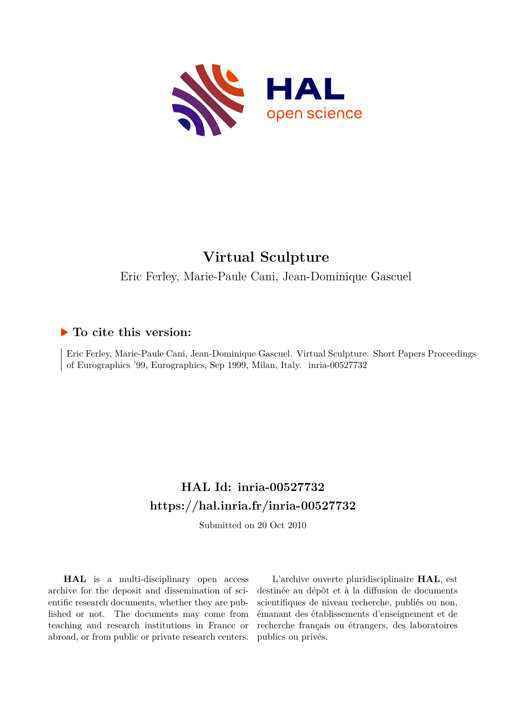

# **Virtual Sculpture**

Eric Ferley, Marie-Paule Cani, Jean-Dominique Gascuel

### **To cite this version:**

Eric Ferley, Marie-Paule Cani, Jean-Dominique Gascuel. Virtual Sculpture. Short Papers Proceedings of Eurographics '99, Eurographics, Sep 1999, Milan, Italy. inria-00527732

## **HAL Id: inria-00527732 <https://hal.inria.fr/inria-00527732>**

Submitted on 20 Oct 2010

**HAL** is a multi-disciplinary open access archive for the deposit and dissemination of scientific research documents, whether they are published or not. The documents may come from teaching and research institutions in France or abroad, or from public or private research centers.

L'archive ouverte pluridisciplinaire **HAL**, est destinée au dépôt et à la diffusion de documents scientifiques de niveau recherche, publiés ou non, émanant des établissements d'enseignement et de recherche français ou étrangers, des laboratoires publics ou privés.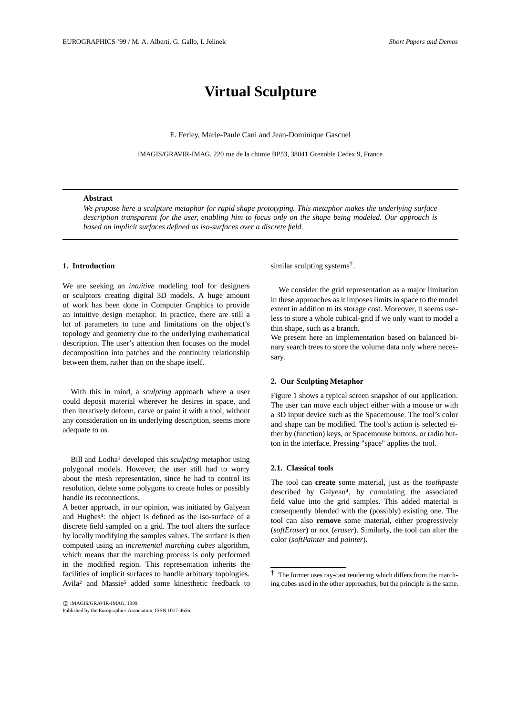### **Virtual Sculpture**

E. Ferley, Marie-Paule Cani and Jean-Dominique Gascuel

iMAGIS/GRAVIR-IMAG, 220 rue de la chimie BP53, 38041 Grenoble Cedex 9, France

#### **Abstract**

*We propose here a sculpture metaphor for rapid shape prototyping. This metaphor makes the underlying surface description transparent for the user, enabling him to focus only on the shape being modeled. Our approach is based on implicit surfaces defined as iso-surfaces over a discrete field.*

#### **1. Introduction**

We are seeking an *intuitive* modeling tool for designers or sculptors creating digital 3D models. A huge amount of work has been done in Computer Graphics to provide an intuitive design metaphor. In practice, there are still a lot of parameters to tune and limitations on the object's topology and geometry due to the underlying mathematical description. The user's attention then focuses on the model decomposition into patches and the continuity relationship between them, rather than on the shape itself.

With this in mind, a *sculpting* approach where a user could deposit material wherever he desires in space, and then iteratively deform, carve or paint it with a tool, without any consideration on its underlying description, seems more adequate to us.

Bill and Lodha3 developed this *sculpting* metaphor using polygonal models. However, the user still had to worry about the mesh representation, since he had to control its resolution, delete some polygons to create holes or possibly handle its reconnections.

A better approach, in our opinion, was initiated by Galyean and Hughes<sup>4</sup>: the object is defined as the iso-surface of a discrete field sampled on a grid. The tool alters the surface by locally modifying the samples values. The surface is then computed using an *incremental marching cubes* algorithm, which means that the marching process is only performed in the modified region. This representation inherits the facilities of implicit surfaces to handle arbitrary topologies. Avila2 and Massie5 added some kinesthetic feedback to similar sculpting systems†.

We consider the grid representation as a major limitation in these approaches as it imposes limits in space to the model extent in addition to its storage cost. Moreover, it seems useless to store a whole cubical-grid if we only want to model a thin shape, such as a branch.

We present here an implementation based on balanced binary search trees to store the volume data only where necessary.

#### **2. Our Sculpting Metaphor**

Figure 1 shows a typical screen snapshot of our application. The user can move each object either with a mouse or with a 3D input device such as the Spacemouse. The tool's color and shape can be modified. The tool's action is selected either by (function) keys, or Spacemouse buttons, or radio button in the interface. Pressing "space" applies the tool.

#### **2.1. Classical tools**

The tool can **create** some material, just as the *toothpaste* described by Galyean4, by cumulating the associated field value into the grid samples. This added material is consequently blended with the (possibly) existing one. The tool can also **remove** some material, either progressively (*softEraser*) or not (*eraser*). Similarly, the tool can alter the color (*softPainter* and *painter*).

c iMAGIS/GRAVIR-IMAG, 1999. Published by the Eurographics Association, ISSN 1017-4656.

<sup>†</sup> The former uses ray-cast rendering which differs from the marching cubes used in the other approaches, but the principle is the same.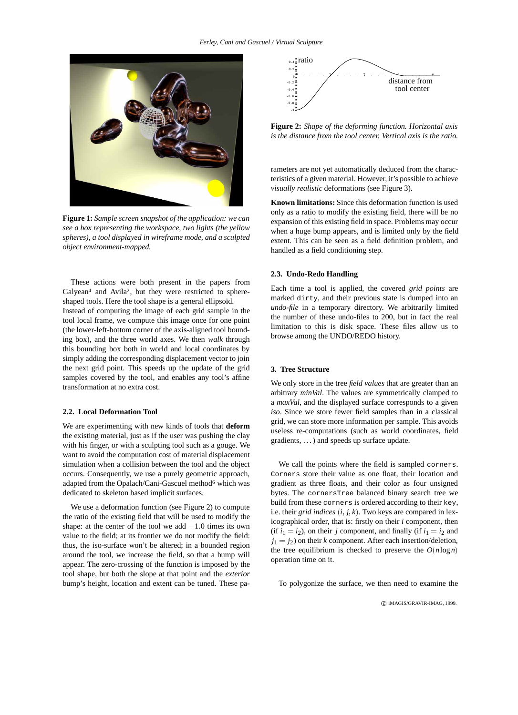

**Figure 1:** *Sample screen snapshot of the application: we can see a box representing the workspace, two lights (the yellow spheres), a tool displayed in wireframe mode, and a sculpted object environment-mapped.*

These actions were both present in the papers from Galyean<sup>4</sup> and Avila<sup>2</sup>, but they were restricted to sphereshaped tools. Here the tool shape is a general ellipsoïd.

Instead of computing the image of each grid sample in the tool local frame, we compute this image once for one point (the lower-left-bottom corner of the axis-aligned tool bounding box), and the three world axes. We then *walk* through this bounding box both in world and local coordinates by simply adding the corresponding displacement vector to join the next grid point. This speeds up the update of the grid samples covered by the tool, and enables any tool's affine transformation at no extra cost.

#### **2.2. Local Deformation Tool**

We are experimenting with new kinds of tools that **deform** the existing material, just as if the user was pushing the clay with his finger, or with a sculpting tool such as a gouge. We want to avoid the computation cost of material displacement simulation when a collision between the tool and the object occurs. Consequently, we use a purely geometric approach, adapted from the Opalach/Cani-Gascuel method<sup>6</sup> which was dedicated to skeleton based implicit surfaces.

We use a deformation function (see Figure 2) to compute the ratio of the existing field that will be used to modify the shape: at the center of the tool we add  $-1.0$  times its own value to the field; at its frontier we do not modify the field: thus, the iso-surface won't be altered; in a bounded region around the tool, we increase the field, so that a bump will appear. The zero-crossing of the function is imposed by the tool shape, but both the slope at that point and the *exterior* bump's height, location and extent can be tuned. These pa-



**Figure 2:** *Shape of the deforming function. Horizontal axis is the distance from the tool center. Vertical axis is the ratio.*

rameters are not yet automatically deduced from the characteristics of a given material. However, it's possible to achieve *visually realistic* deformations (see Figure 3).

**Known limitations:** Since this deformation function is used only as a ratio to modify the existing field, there will be no expansion of this existing field in space. Problems may occur when a huge bump appears, and is limited only by the field extent. This can be seen as a field definition problem, and handled as a field conditioning step.

#### **2.3. Undo-Redo Handling**

Each time a tool is applied, the covered *grid points* are marked dirty, and their previous state is dumped into an *undo-file* in a temporary directory. We arbitrarily limited the number of these undo-files to 200, but in fact the real limitation to this is disk space. These files allow us to browse among the UNDO/REDO history.

#### **3. Tree Structure**

We only store in the tree *field values* that are greater than an arbitrary *minVal*. The values are symmetrically clamped to a *maxVal*, and the displayed surface corresponds to a given *iso*. Since we store fewer field samples than in a classical grid, we can store more information per sample. This avoids useless re-computations (such as world coordinates, field gradients, . . . ) and speeds up surface update.

We call the points where the field is sampled corners. Corners store their value as one float, their location and gradient as three floats, and their color as four unsigned bytes. The cornersTree balanced binary search tree we build from these corners is ordered according to their key, i.e. their *grid indices* (*i*; *j*; *k*). Two keys are compared in lexicographical order, that is: firstly on their *i* component, then (if  $i_1 = i_2$ ), on their *j* component, and finally (if  $i_1 = i_2$  and  $j_1 = j_2$ ) on their *k* component. After each insertion/deletion, the tree equilibrium is checked to preserve the  $O(n \log n)$ operation time on it.

To polygonize the surface, we then need to examine the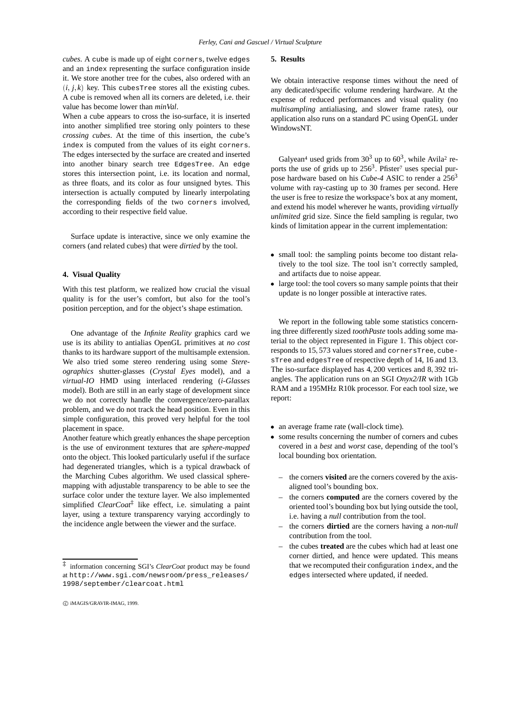*cubes*. A cube is made up of eight corners, twelve edges and an index representing the surface configuration inside it. We store another tree for the cubes, also ordered with an  $(i, j, k)$  key. This cubesTree stores all the existing cubes. A cube is removed when all its corners are deleted, i.e. their value has become lower than *minVal*.

When a cube appears to cross the iso-surface, it is inserted into another simplified tree storing only pointers to these *crossing cubes*. At the time of this insertion, the cube's index is computed from the values of its eight corners. The edges intersected by the surface are created and inserted into another binary search tree EdgesTree. An edge stores this intersection point, i.e. its location and normal, as three floats, and its color as four unsigned bytes. This intersection is actually computed by linearly interpolating the corresponding fields of the two corners involved, according to their respective field value.

Surface update is interactive, since we only examine the corners (and related cubes) that were *dirtied* by the tool.

#### **4. Visual Quality**

With this test platform, we realized how crucial the visual quality is for the user's comfort, but also for the tool's position perception, and for the object's shape estimation.

One advantage of the *Infinite Reality* graphics card we use is its ability to antialias OpenGL primitives at *no cost* thanks to its hardware support of the multisample extension. We also tried some stereo rendering using some *Stereographics* shutter-glasses (*Crystal Eyes* model), and a *virtual-IO* HMD using interlaced rendering (*i-Glasses* model). Both are still in an early stage of development since we do not correctly handle the convergence/zero-parallax problem, and we do not track the head position. Even in this simple configuration, this proved very helpful for the tool placement in space.

Another feature which greatly enhances the shape perception is the use of environment textures that are *sphere-mapped* onto the object. This looked particularly useful if the surface had degenerated triangles, which is a typical drawback of the Marching Cubes algorithm. We used classical spheremapping with adjustable transparency to be able to see the surface color under the texture layer. We also implemented simplified *ClearCoat*‡ like effect, i.e. simulating a paint layer, using a texture transparency varying accordingly to the incidence angle between the viewer and the surface.

#### **5. Results**

We obtain interactive response times without the need of any dedicated/specific volume rendering hardware. At the expense of reduced performances and visual quality (no *multisampling* antialiasing, and slower frame rates), our application also runs on a standard PC using OpenGL under WindowsNT.

Galyean<sup>4</sup> used grids from  $30<sup>3</sup>$  up to  $60<sup>3</sup>$ , while Avila<sup>2</sup> reports the use of grids up to  $256<sup>3</sup>$ . Pfister<sup>7</sup> uses special purpose hardware based on his *Cube-4* ASIC to render a 2563 volume with ray-casting up to 30 frames per second. Here the user is free to resize the workspace's box at any moment, and extend his model wherever he wants, providing *virtually unlimited* grid size. Since the field sampling is regular, two kinds of limitation appear in the current implementation:

- small tool: the sampling points become too distant relatively to the tool size. The tool isn't correctly sampled, and artifacts due to noise appear.
- large tool: the tool covers so many sample points that their update is no longer possible at interactive rates.

We report in the following table some statistics concerning three differently sized *toothPaste* tools adding some material to the object represented in Figure 1. This object corresponds to 15; 573 values stored and cornersTree, cubesTree and edgesTree of respective depth of 14, 16 and 13. The iso-surface displayed has 4; 200 vertices and 8; 392 triangles. The application runs on an SGI *Onyx2/IR* with 1Gb RAM and a 195MHz R10k processor. For each tool size, we report:

- an average frame rate (wall-clock time).
- some results concerning the number of corners and cubes covered in a *best* and *worst* case, depending of the tool's local bounding box orientation.
	- the corners **visited** are the corners covered by the axisaligned tool's bounding box.
	- the corners **computed** are the corners covered by the oriented tool's bounding box but lying outside the tool, i.e. having a *null* contribution from the tool.
	- the corners **dirtied** are the corners having a *non-null* contribution from the tool.
	- the cubes **treated** are the cubes which had at least one corner dirtied, and hence were updated. This means that we recomputed their configuration index, and the edges intersected where updated, if needed.

<sup>‡</sup> information concerning SGI's *ClearCoat* product may be found at http://www.sgi.com/newsroom/press\_releases/ 1998/september/clearcoat.html